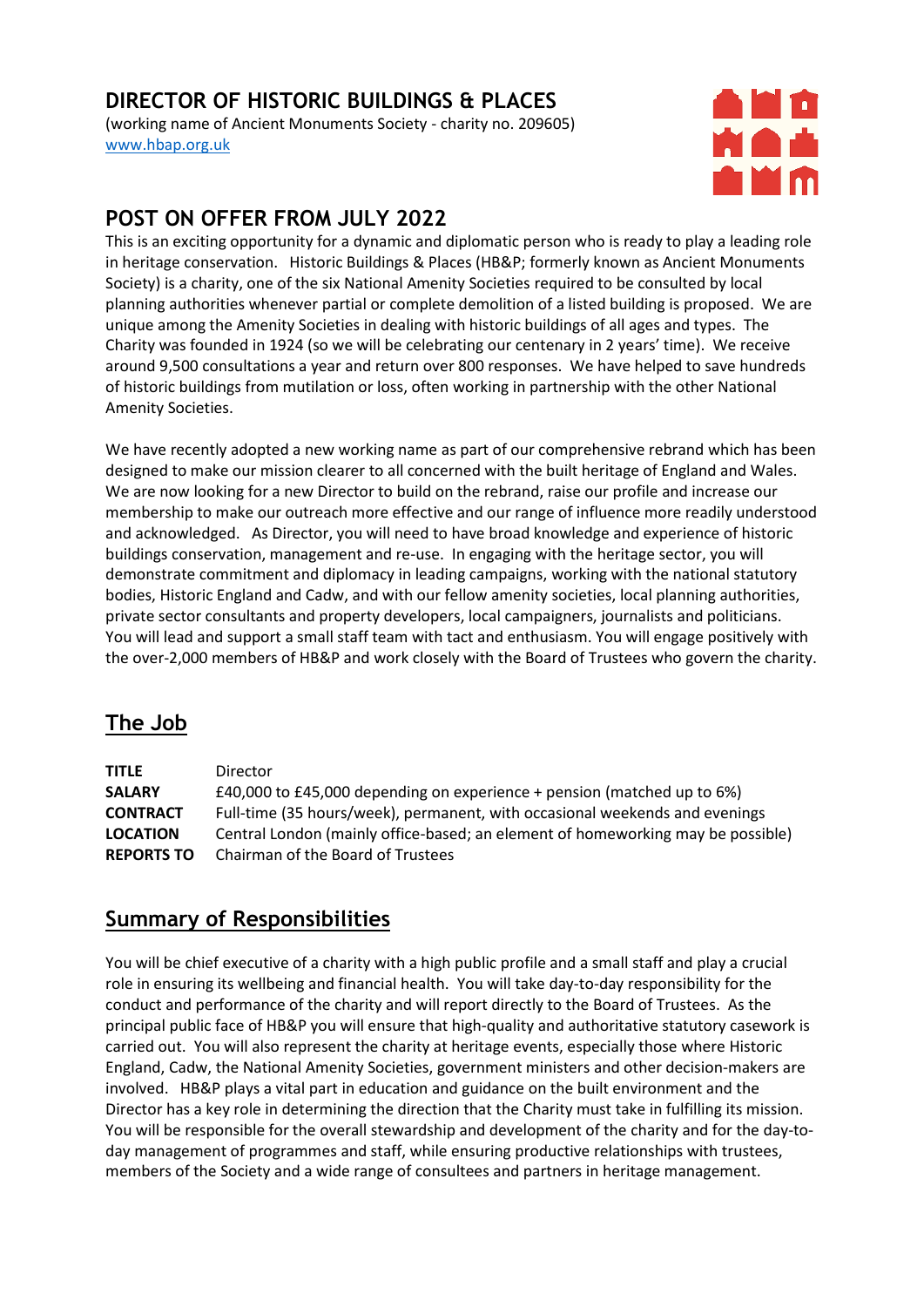# **DIRECTOR OF HISTORIC BUILDINGS & PLACES**

(working name of Ancient Monuments Society - charity no. 209605) [www.hbap.org.uk](about:blank)



### **POST ON OFFER FROM JULY 2022**

This is an exciting opportunity for a dynamic and diplomatic person who is ready to play a leading role in heritage conservation. Historic Buildings & Places (HB&P; formerly known as Ancient Monuments Society) is a charity, one of the six National Amenity Societies required to be consulted by local planning authorities whenever partial or complete demolition of a listed building is proposed. We are unique among the Amenity Societies in dealing with historic buildings of all ages and types. The Charity was founded in 1924 (so we will be celebrating our centenary in 2 years' time). We receive around 9,500 consultations a year and return over 800 responses. We have helped to save hundreds of historic buildings from mutilation or loss, often working in partnership with the other National Amenity Societies.

We have recently adopted a new working name as part of our comprehensive rebrand which has been designed to make our mission clearer to all concerned with the built heritage of England and Wales. We are now looking for a new Director to build on the rebrand, raise our profile and increase our membership to make our outreach more effective and our range of influence more readily understood and acknowledged. As Director, you will need to have broad knowledge and experience of historic buildings conservation, management and re-use. In engaging with the heritage sector, you will demonstrate commitment and diplomacy in leading campaigns, working with the national statutory bodies, Historic England and Cadw, and with our fellow amenity societies, local planning authorities, private sector consultants and property developers, local campaigners, journalists and politicians. You will lead and support a small staff team with tact and enthusiasm. You will engage positively with the over-2,000 members of HB&P and work closely with the Board of Trustees who govern the charity.

#### **The Job**

**TITLE** Director **SALARY** £40,000 to £45,000 depending on experience + pension (matched up to 6%) **CONTRACT** Full-time (35 hours/week), permanent, with occasional weekends and evenings **LOCATION** Central London (mainly office-based; an element of homeworking may be possible) **REPORTS TO** Chairman of the Board of Trustees

### **Summary of Responsibilities**

You will be chief executive of a charity with a high public profile and a small staff and play a crucial role in ensuring its wellbeing and financial health. You will take day-to-day responsibility for the conduct and performance of the charity and will report directly to the Board of Trustees. As the principal public face of HB&P you will ensure that high-quality and authoritative statutory casework is carried out. You will also represent the charity at heritage events, especially those where Historic England, Cadw, the National Amenity Societies, government ministers and other decision-makers are involved. HB&P plays a vital part in education and guidance on the built environment and the Director has a key role in determining the direction that the Charity must take in fulfilling its mission. You will be responsible for the overall stewardship and development of the charity and for the day-today management of programmes and staff, while ensuring productive relationships with trustees, members of the Society and a wide range of consultees and partners in heritage management.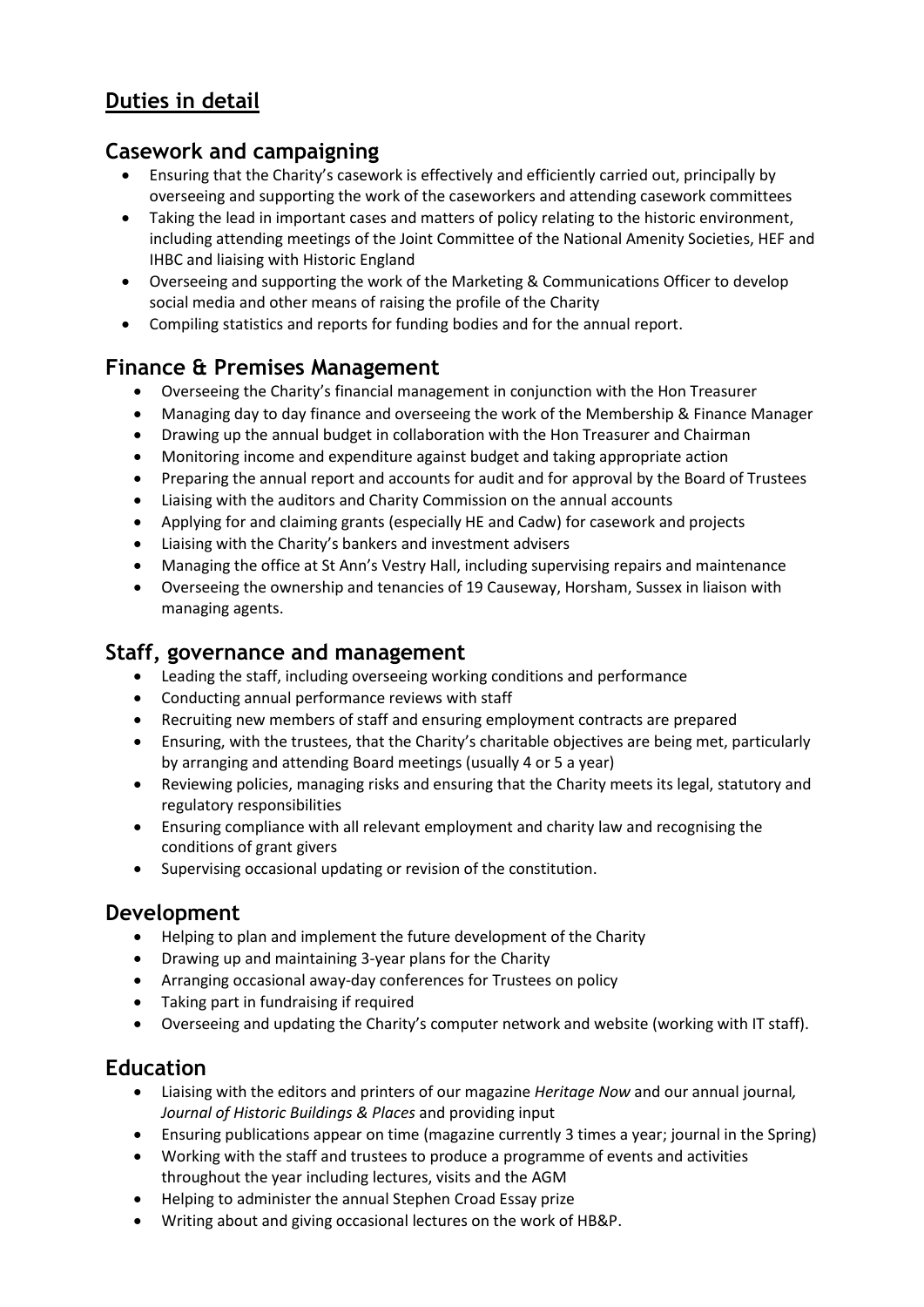# **Duties in detail**

### **Casework and campaigning**

- Ensuring that the Charity's casework is effectively and efficiently carried out, principally by overseeing and supporting the work of the caseworkers and attending casework committees
- Taking the lead in important cases and matters of policy relating to the historic environment, including attending meetings of the Joint Committee of the National Amenity Societies, HEF and IHBC and liaising with Historic England
- Overseeing and supporting the work of the Marketing & Communications Officer to develop social media and other means of raising the profile of the Charity
- Compiling statistics and reports for funding bodies and for the annual report.

### **Finance & Premises Management**

- Overseeing the Charity's financial management in conjunction with the Hon Treasurer
- Managing day to day finance and overseeing the work of the Membership & Finance Manager
- Drawing up the annual budget in collaboration with the Hon Treasurer and Chairman
- Monitoring income and expenditure against budget and taking appropriate action
- Preparing the annual report and accounts for audit and for approval by the Board of Trustees
- Liaising with the auditors and Charity Commission on the annual accounts
- Applying for and claiming grants (especially HE and Cadw) for casework and projects
- Liaising with the Charity's bankers and investment advisers
- Managing the office at St Ann's Vestry Hall, including supervising repairs and maintenance
- Overseeing the ownership and tenancies of 19 Causeway, Horsham, Sussex in liaison with managing agents.

#### **Staff, governance and management**

- Leading the staff, including overseeing working conditions and performance
- Conducting annual performance reviews with staff
- Recruiting new members of staff and ensuring employment contracts are prepared
- Ensuring, with the trustees, that the Charity's charitable objectives are being met, particularly by arranging and attending Board meetings (usually 4 or 5 a year)
- Reviewing policies, managing risks and ensuring that the Charity meets its legal, statutory and regulatory responsibilities
- Ensuring compliance with all relevant employment and charity law and recognising the conditions of grant givers
- Supervising occasional updating or revision of the constitution.

#### **Development**

- Helping to plan and implement the future development of the Charity
- Drawing up and maintaining 3-year plans for the Charity
- Arranging occasional away-day conferences for Trustees on policy
- Taking part in fundraising if required
- Overseeing and updating the Charity's computer network and website (working with IT staff).

#### **Education**

- Liaising with the editors and printers of our magazine *Heritage Now* and our annual journal*, Journal of Historic Buildings & Places* and providing input
- Ensuring publications appear on time (magazine currently 3 times a year; journal in the Spring)
- Working with the staff and trustees to produce a programme of events and activities throughout the year including lectures, visits and the AGM
- Helping to administer the annual Stephen Croad Essay prize
- Writing about and giving occasional lectures on the work of HB&P.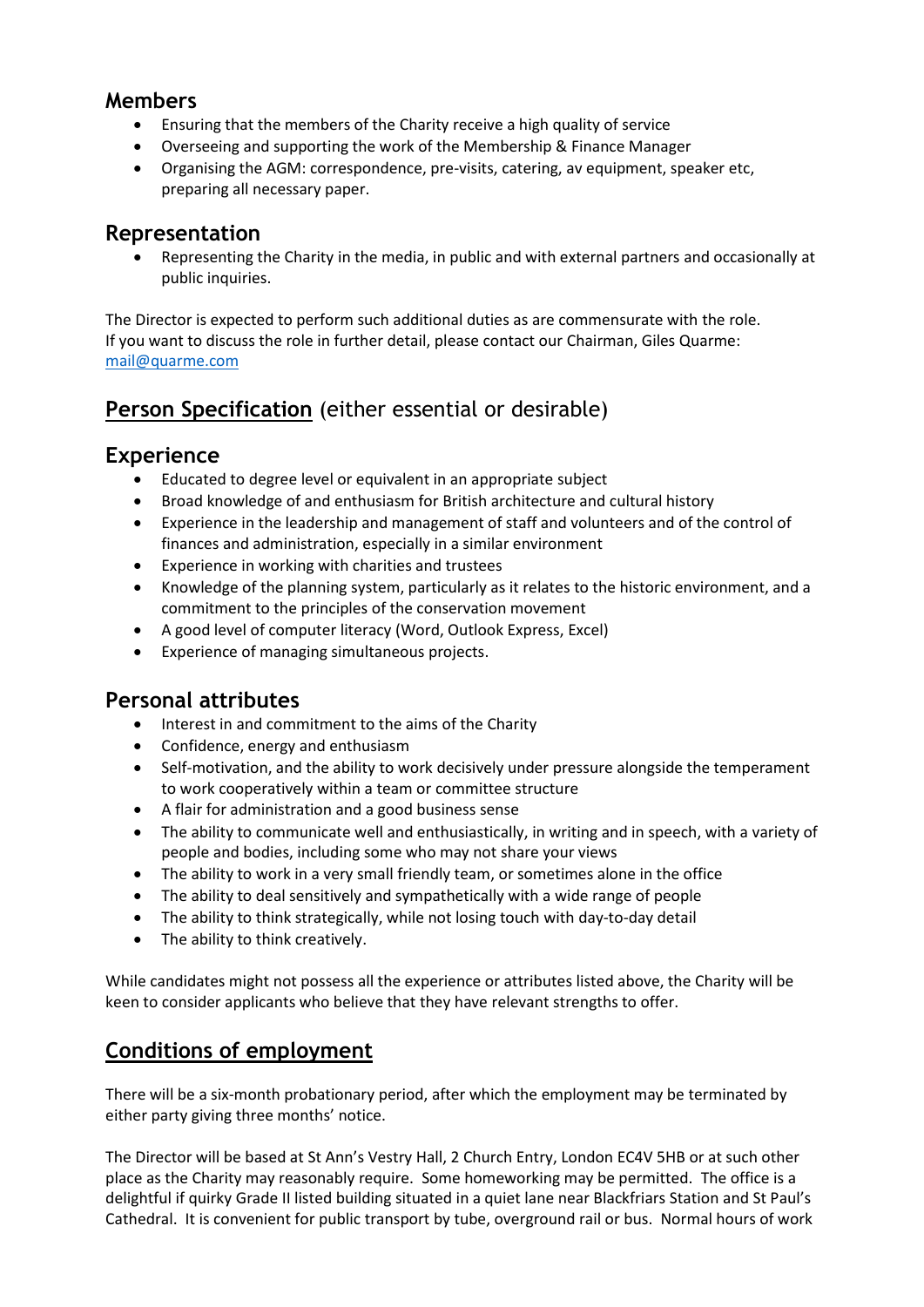#### **Members**

- Ensuring that the members of the Charity receive a high quality of service
- Overseeing and supporting the work of the Membership & Finance Manager
- Organising the AGM: correspondence, pre-visits, catering, av equipment, speaker etc, preparing all necessary paper.

### **Representation**

• Representing the Charity in the media, in public and with external partners and occasionally at public inquiries.

The Director is expected to perform such additional duties as are commensurate with the role. If you want to discuss the role in further detail, please contact our Chairman, Giles Quarme: [mail@quarme.com](about:blank) 

## **Person Specification** (either essential or desirable)

### **Experience**

- Educated to degree level or equivalent in an appropriate subject
- Broad knowledge of and enthusiasm for British architecture and cultural history
- Experience in the leadership and management of staff and volunteers and of the control of finances and administration, especially in a similar environment
- Experience in working with charities and trustees
- Knowledge of the planning system, particularly as it relates to the historic environment, and a commitment to the principles of the conservation movement
- A good level of computer literacy (Word, Outlook Express, Excel)
- Experience of managing simultaneous projects.

## **Personal attributes**

- Interest in and commitment to the aims of the Charity
- Confidence, energy and enthusiasm
- Self-motivation, and the ability to work decisively under pressure alongside the temperament to work cooperatively within a team or committee structure
- A flair for administration and a good business sense
- The ability to communicate well and enthusiastically, in writing and in speech, with a variety of people and bodies, including some who may not share your views
- The ability to work in a very small friendly team, or sometimes alone in the office
- The ability to deal sensitively and sympathetically with a wide range of people
- The ability to think strategically, while not losing touch with day-to-day detail
- The ability to think creatively.

While candidates might not possess all the experience or attributes listed above, the Charity will be keen to consider applicants who believe that they have relevant strengths to offer.

## **Conditions of employment**

There will be a six-month probationary period, after which the employment may be terminated by either party giving three months' notice.

The Director will be based at St Ann's Vestry Hall, 2 Church Entry, London EC4V 5HB or at such other place as the Charity may reasonably require. Some homeworking may be permitted. The office is a delightful if quirky Grade II listed building situated in a quiet lane near Blackfriars Station and St Paul's Cathedral. It is convenient for public transport by tube, overground rail or bus. Normal hours of work